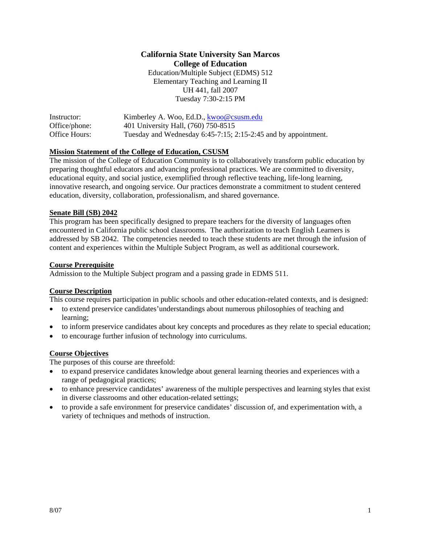## **California State University San Marcos College of Education**

Education/Multiple Subject (EDMS) 512 Elementary Teaching and Learning II UH 441, fall 2007 Tuesday 7:30-2:15 PM

| Instructor:   | Kimberley A. Woo, Ed.D., kwoo@csusm.edu                        |
|---------------|----------------------------------------------------------------|
| Office/phone: | 401 University Hall, (760) 750-8515                            |
| Office Hours: | Tuesday and Wednesday 6:45-7:15; 2:15-2:45 and by appointment. |

#### **Mission Statement of the College of Education, CSUSM**

The mission of the College of Education Community is to collaboratively transform public education by preparing thoughtful educators and advancing professional practices. We are committed to diversity, educational equity, and social justice, exemplified through reflective teaching, life-long learning, innovative research, and ongoing service. Our practices demonstrate a commitment to student centered education, diversity, collaboration, professionalism, and shared governance.

#### **Senate Bill (SB) 2042**

This program has been specifically designed to prepare teachers for the diversity of languages often encountered in California public school classrooms. The authorization to teach English Learners is addressed by SB 2042. The competencies needed to teach these students are met through the infusion of content and experiences within the Multiple Subject Program, as well as additional coursework.

#### **Course Prerequisite**

Admission to the Multiple Subject program and a passing grade in EDMS 511.

#### **Course Description**

This course requires participation in public schools and other education-related contexts, and is designed:

- to extend preservice candidates'understandings about numerous philosophies of teaching and learning;
- to inform preservice candidates about key concepts and procedures as they relate to special education;
- to encourage further infusion of technology into curriculums.

#### **Course Objectives**

The purposes of this course are threefold:

- to expand preservice candidates knowledge about general learning theories and experiences with a range of pedagogical practices;
- to enhance preservice candidates' awareness of the multiple perspectives and learning styles that exist in diverse classrooms and other education-related settings;
- to provide a safe environment for preservice candidates' discussion of, and experimentation with, a variety of techniques and methods of instruction.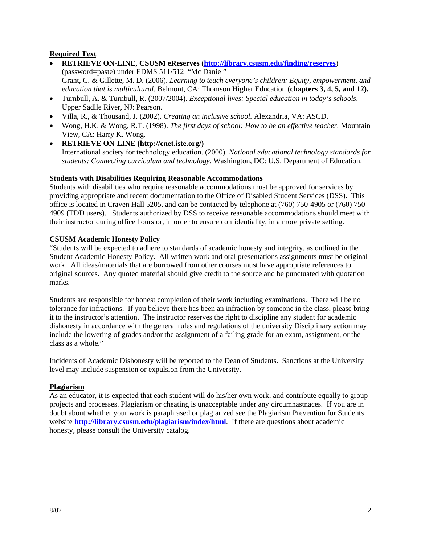#### **Required Text**

- **RETRIEVE ON-LINE, CSUSM eReserves (http://library.csusm.edu/finding/reserves**) (password=paste) under EDMS 511/512 "Mc Daniel" Grant, C. & Gillette, M. D. (2006). *Learning to teach everyone's children: Equity, empowerment, and education that is multicultural.* Belmont, CA: Thomson Higher Education **(chapters 3, 4, 5, and 12).**
- Turnbull, A. & Turnbull, R. (2007/2004). *Exceptional lives: Special education in today's schools*. Upper Sadlle River, NJ: Pearson.
- Villa, R., & Thousand, J. (2002). *Creating an inclusive school.* Alexandria, VA: ASCD**.**
- Wong, H.K. & Wong, R.T. (1998). *The first days of school: How to be an effective teacher.* Mountain View, CA: Harry K. Wong.
- **RETRIEVE ON-LINE (http://cnet.iste.org/)**

International society for technology education. (2000). *National educational technology standards for students: Connecting curriculum and technology.* Washington, DC: U.S. Department of Education.

#### **Students with Disabilities Requiring Reasonable Accommodations**

Students with disabilities who require reasonable accommodations must be approved for services by providing appropriate and recent documentation to the Office of Disabled Student Services (DSS). This office is located in Craven Hall 5205, and can be contacted by telephone at (760) 750-4905 or (760) 750- 4909 (TDD users). Students authorized by DSS to receive reasonable accommodations should meet with their instructor during office hours or, in order to ensure confidentiality, in a more private setting.

#### **CSUSM Academic Honesty Policy**

"Students will be expected to adhere to standards of academic honesty and integrity, as outlined in the Student Academic Honesty Policy. All written work and oral presentations assignments must be original work. All ideas/materials that are borrowed from other courses must have appropriate references to original sources. Any quoted material should give credit to the source and be punctuated with quotation marks.

Students are responsible for honest completion of their work including examinations. There will be no tolerance for infractions. If you believe there has been an infraction by someone in the class, please bring it to the instructor's attention. The instructor reserves the right to discipline any student for academic dishonesty in accordance with the general rules and regulations of the university Disciplinary action may include the lowering of grades and/or the assignment of a failing grade for an exam, assignment, or the class as a whole."

Incidents of Academic Dishonesty will be reported to the Dean of Students. Sanctions at the University level may include suspension or expulsion from the University.

#### **Plagiarism**

As an educator, it is expected that each student will do his/her own work, and contribute equally to group projects and processes. Plagiarism or cheating is unacceptable under any circumnastnaces. If you are in doubt about whether your work is paraphrased or plagiarized see the Plagiarism Prevention for Students website **http://library.csusm.edu/plagiarism/index/html**. If there are questions about academic honesty, please consult the University catalog.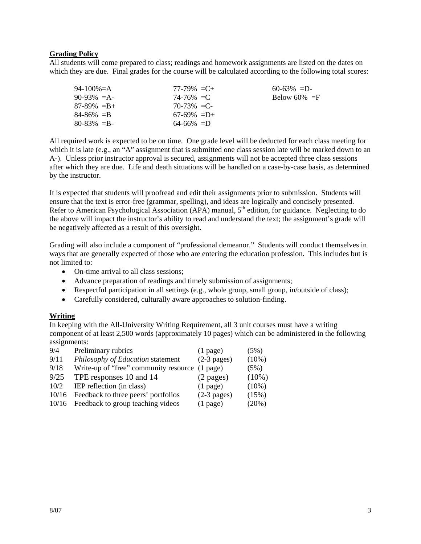#### **Grading Policy**

All students will come prepared to class; readings and homework assignments are listed on the dates on which they are due. Final grades for the course will be calculated according to the following total scores:

| 94-100%=A       | $77-79\% = C +$ | $60-63\% = D$   |
|-----------------|-----------------|-----------------|
| $90-93\% = A$   | $74 - 76\% = C$ | Below 60% $=$ F |
| $87-89\% = B +$ | $70-73\% = C$   |                 |
| $84 - 86\% = B$ | $67-69\% = D+$  |                 |
| $80 - 83\% = B$ | $64-66\% = D$   |                 |

All required work is expected to be on time. One grade level will be deducted for each class meeting for which it is late (e.g., an "A" assignment that is submitted one class session late will be marked down to an A-). Unless prior instructor approval is secured, assignments will not be accepted three class sessions after which they are due. Life and death situations will be handled on a case-by-case basis, as determined by the instructor.

It is expected that students will proofread and edit their assignments prior to submission. Students will ensure that the text is error-free (grammar, spelling), and ideas are logically and concisely presented. Refer to American Psychological Association (APA) manual, 5<sup>th</sup> edition, for guidance. Neglecting to do the above will impact the instructor's ability to read and understand the text; the assignment's grade will be negatively affected as a result of this oversight.

Grading will also include a component of "professional demeanor." Students will conduct themselves in ways that are generally expected of those who are entering the education profession. This includes but is not limited to:

- On-time arrival to all class sessions;
- Advance preparation of readings and timely submission of assignments;
- Respectful participation in all settings (e.g., whole group, small group, in/outside of class);
- Carefully considered, culturally aware approaches to solution-finding.

#### **Writing**

In keeping with the All-University Writing Requirement, all 3 unit courses must have a writing component of at least 2,500 words (approximately 10 pages) which can be administered in the following assignments:

| Preliminary rubrics                     | $(1$ page)          | (5%)                                           |
|-----------------------------------------|---------------------|------------------------------------------------|
| Philosophy of Education statement       | $(2-3$ pages)       | $(10\%)$                                       |
|                                         |                     | (5%)                                           |
| TPE responses 10 and 14                 | $(2 \text{ pages})$ | $(10\%)$                                       |
| IEP reflection (in class)               | $(1$ page)          | $(10\%)$                                       |
| Feedback to three peers' portfolios     | $(2-3$ pages)       | (15%)                                          |
| 10/16 Feedback to group teaching videos | $(1$ page)          | $(20\%)$                                       |
|                                         |                     | Write-up of "free" community resource (1 page) |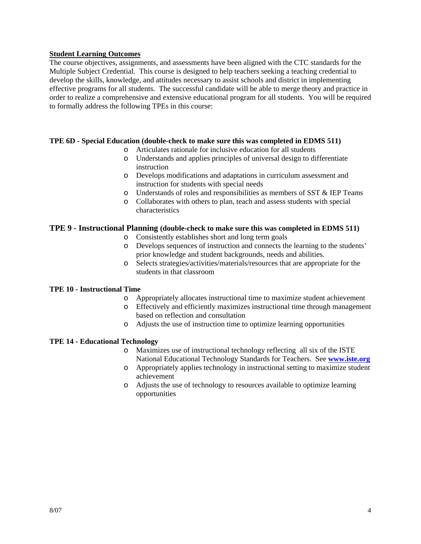#### **Student Learning Outcomes**

The course objectives, assignments, and assessments have been aligned with the CTC standards for the Multiple Subject Credential. This course is designed to help teachers seeking a teaching credential to develop the skills, knowledge, and attitudes necessary to assist schools and district in implementing effective programs for all students. The successful candidate will be able to merge theory and practice in order to realize a comprehensive and extensive educational program for all students. You will be required to formally address the following TPEs in this course:

#### **TPE 6D - Special Education (double-check to make sure this was completed in EDMS 511)**

- o Articulates rationale for inclusive education for all students
- o Understands and applies principles of universal design to differentiate instruction
- o Develops modifications and adaptations in curriculum assessment and instruction for students with special needs
- o Understands of roles and responsibilities as members of SST & IEP Teams
- o Collaborates with others to plan, teach and assess students with special characteristics

#### **TPE 9 - Instructional Planning (double-check to make sure this was completed in EDMS 511)**

- o Consistently establishes short and long term goals
- o Develops sequences of instruction and connects the learning to the students' prior knowledge and student backgrounds, needs and abilities.
- o Selects strategies/activities/materials/resources that are appropriate for the students in that classroom

#### **TPE 10 - Instructional Time**

- o Appropriately allocates instructional time to maximize student achievement
- o Effectively and efficiently maximizes instructional time through management based on reflection and consultation
- o Adjusts the use of instruction time to optimize learning opportunities

#### **TPE 14 - Educational Technology**

- o Maximizes use of instructional technology reflecting all six of the ISTE National Educational Technology Standards for Teachers. See **www.iste.org**
- o Appropriately applies technology in instructional setting to maximize student achievement
- o Adjusts the use of technology to resources available to optimize learning opportunities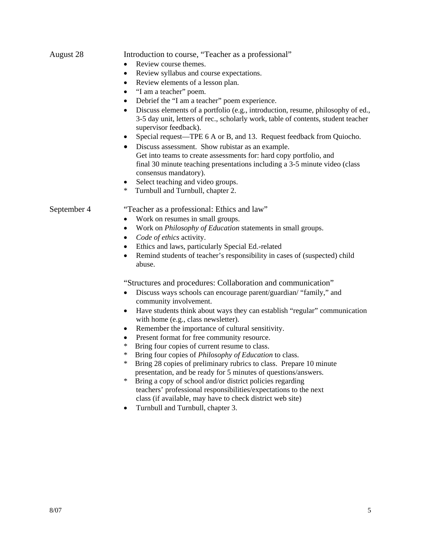| August 28   | Introduction to course, "Teacher as a professional"                                                                                                                                                                                                                                |  |  |
|-------------|------------------------------------------------------------------------------------------------------------------------------------------------------------------------------------------------------------------------------------------------------------------------------------|--|--|
|             | Review course themes.                                                                                                                                                                                                                                                              |  |  |
|             | Review syllabus and course expectations.<br>$\bullet$                                                                                                                                                                                                                              |  |  |
|             | Review elements of a lesson plan.<br>$\bullet$                                                                                                                                                                                                                                     |  |  |
|             | "I am a teacher" poem.<br>$\bullet$                                                                                                                                                                                                                                                |  |  |
|             | Debrief the "I am a teacher" poem experience.<br>٠                                                                                                                                                                                                                                 |  |  |
|             | Discuss elements of a portfolio (e.g., introduction, resume, philosophy of ed.,<br>$\bullet$<br>3-5 day unit, letters of rec., scholarly work, table of contents, student teacher<br>supervisor feedback).<br>Special request—TPE 6 A or B, and 13. Request feedback from Quiocho. |  |  |
|             | Discuss assessment. Show rubistar as an example.<br>$\bullet$                                                                                                                                                                                                                      |  |  |
|             | Get into teams to create assessments for: hard copy portfolio, and<br>final 30 minute teaching presentations including a 3-5 minute video (class<br>consensus mandatory).<br>Select teaching and video groups.<br>$\bullet$                                                        |  |  |
|             | Turnbull and Turnbull, chapter 2.<br>$\ast$                                                                                                                                                                                                                                        |  |  |
|             |                                                                                                                                                                                                                                                                                    |  |  |
| September 4 | "Teacher as a professional: Ethics and law"                                                                                                                                                                                                                                        |  |  |
|             | Work on resumes in small groups.                                                                                                                                                                                                                                                   |  |  |
|             | Work on <i>Philosophy of Education</i> statements in small groups.<br>٠                                                                                                                                                                                                            |  |  |
|             | Code of ethics activity.<br>$\bullet$                                                                                                                                                                                                                                              |  |  |
|             | Ethics and laws, particularly Special Ed.-related<br>$\bullet$                                                                                                                                                                                                                     |  |  |
|             | Remind students of teacher's responsibility in cases of (suspected) child<br>$\bullet$<br>abuse.                                                                                                                                                                                   |  |  |
|             | "Structures and procedures: Collaboration and communication"                                                                                                                                                                                                                       |  |  |
|             | Discuss ways schools can encourage parent/guardian/ "family," and<br>community involvement.                                                                                                                                                                                        |  |  |
|             | Have students think about ways they can establish "regular" communication<br>$\bullet$<br>with home (e.g., class newsletter).                                                                                                                                                      |  |  |
|             | Remember the importance of cultural sensitivity.<br>$\bullet$                                                                                                                                                                                                                      |  |  |
|             | Present format for free community resource.                                                                                                                                                                                                                                        |  |  |
|             | Bring four copies of current resume to class.<br>$\ast$                                                                                                                                                                                                                            |  |  |
|             | Bring four copies of Philosophy of Education to class.<br>∗                                                                                                                                                                                                                        |  |  |
|             | Bring 28 copies of preliminary rubrics to class. Prepare 10 minute<br>∗                                                                                                                                                                                                            |  |  |
|             | presentation, and be ready for 5 minutes of questions/answers.                                                                                                                                                                                                                     |  |  |
|             | Bring a copy of school and/or district policies regarding<br>∗<br>teachers' professional responsibilities/expectations to the next                                                                                                                                                 |  |  |
|             | class (if available, may have to check district web site)<br>Turnbull and Turnbull, chapter 3.                                                                                                                                                                                     |  |  |
|             |                                                                                                                                                                                                                                                                                    |  |  |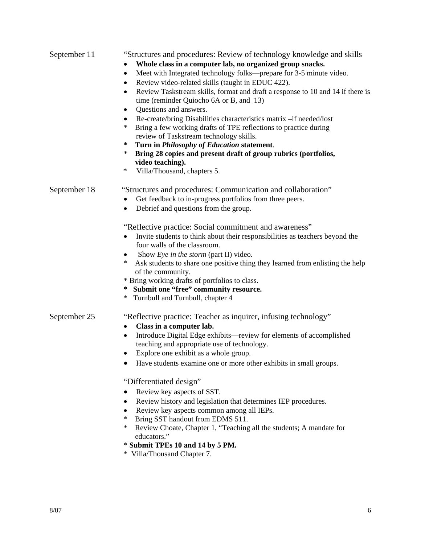| September 11 | "Structures and procedures: Review of technology knowledge and skills                       |
|--------------|---------------------------------------------------------------------------------------------|
|              | Whole class in a computer lab, no organized group snacks.                                   |
|              | Meet with Integrated technology folks—prepare for 3-5 minute video.<br>$\bullet$            |
|              | Review video-related skills (taught in EDUC 422).<br>$\bullet$                              |
|              | Review Taskstream skills, format and draft a response to 10 and 14 if there is<br>$\bullet$ |
|              | time (reminder Quiocho 6A or B, and 13)                                                     |
|              | Questions and answers.<br>$\bullet$                                                         |
|              | Re-create/bring Disabilities characteristics matrix -if needed/lost<br>$\bullet$            |
|              | Bring a few working drafts of TPE reflections to practice during<br>$\ast$                  |
|              | review of Taskstream technology skills.                                                     |
|              | ∗<br>Turn in Philosophy of Education statement.                                             |
|              | $\ast$<br>Bring 28 copies and present draft of group rubrics (portfolios,                   |
|              | video teaching).                                                                            |
|              | $\ast$<br>Villa/Thousand, chapters 5.                                                       |
| September 18 | "Structures and procedures: Communication and collaboration"                                |
|              | Get feedback to in-progress portfolios from three peers.                                    |
|              | Debrief and questions from the group.                                                       |
|              | "Reflective practice: Social commitment and awareness"                                      |
|              | Invite students to think about their responsibilities as teachers beyond the                |
|              | four walls of the classroom.                                                                |
|              | Show Eye in the storm (part II) video.                                                      |
|              | Ask students to share one positive thing they learned from enlisting the help<br>∗          |
|              | of the community.                                                                           |
|              | * Bring working drafts of portfolios to class.                                              |
|              | * Submit one "free" community resource.                                                     |
|              | * Turnbull and Turnbull, chapter 4                                                          |
| September 25 | "Reflective practice: Teacher as inquirer, infusing technology"                             |
|              | Class in a computer lab.                                                                    |
|              | Introduce Digital Edge exhibits—review for elements of accomplished<br>$\bullet$            |
|              | teaching and appropriate use of technology.                                                 |
|              | Explore one exhibit as a whole group.<br>$\bullet$                                          |
|              | Have students examine one or more other exhibits in small groups.                           |
|              | "Differentiated design"                                                                     |
|              | Review key aspects of SST.                                                                  |
|              | Review history and legislation that determines IEP procedures.<br>٠                         |
|              | Review key aspects common among all IEPs.<br>٠                                              |
|              | Bring SST handout from EDMS 511.<br>∗                                                       |
|              | Review Choate, Chapter 1, "Teaching all the students; A mandate for<br>∗                    |
|              | educators."                                                                                 |
|              | * Submit TPEs 10 and 14 by 5 PM.                                                            |
|              | $*$ $V^{11}_{\alpha}$ Thousand Chapter 7                                                    |

Villa/Thousand Chapter 7.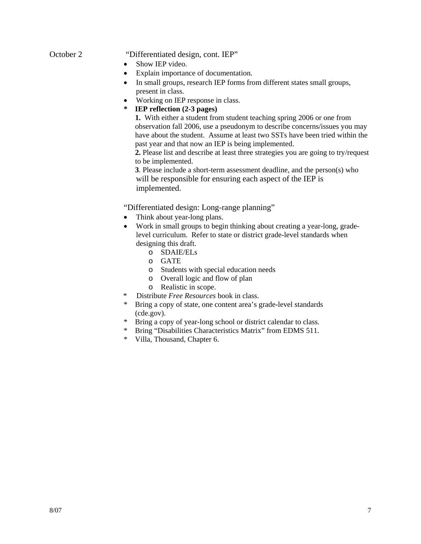#### October 2 "Differentiated design, cont. IEP"

- Show IEP video.
- Explain importance of documentation.
- In small groups, research IEP forms from different states small groups, present in class.
- Working on IEP response in class.
- **\* IEP reflection (2-3 pages)**

 **1.** With either a student from student teaching spring 2006 or one from observation fall 2006, use a pseudonym to describe concerns/issues you may have about the student. Assume at least two SSTs have been tried within the past year and that now an IEP is being implemented.

 **2.** Please list and describe at least three strategies you are going to try/request to be implemented.

 **3**. Please include a short-term assessment deadline, and the person(s) who will be responsible for ensuring each aspect of the IEP is implemented.

"Differentiated design: Long-range planning"

- Think about year-long plans.
- Work in small groups to begin thinking about creating a year-long, gradelevel curriculum. Refer to state or district grade-level standards when designing this draft.
	- o SDAIE/ELs
	- o GATE
	- o Students with special education needs
	- o Overall logic and flow of plan
	- o Realistic in scope.
- \* Distribute *Free Resources* book in class.
- \* Bring a copy of state, one content area's grade-level standards (cde.gov).
- \* Bring a copy of year-long school or district calendar to class.
- \* Bring "Disabilities Characteristics Matrix" from EDMS 511.
- \* Villa, Thousand, Chapter 6.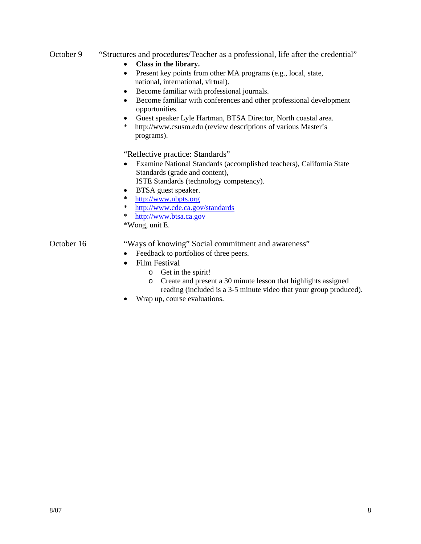#### October 9 "Structures and procedures/Teacher as a professional, life after the credential"

- **Class in the library.**
- Present key points from other MA programs (e.g., local, state, national, international, virtual).
- Become familiar with professional journals.
- Become familiar with conferences and other professional development opportunities.
- Guest speaker Lyle Hartman, BTSA Director, North coastal area.
- http://www.csusm.edu (review descriptions of various Master's programs).

"Reflective practice: Standards"

• Examine National Standards (accomplished teachers), California State Standards (grade and content),

ISTE Standards (technology competency).

- BTSA guest speaker.
- **\*** http://www.nbpts.org
- \* http://www.cde.ca.gov/standards
- \* http://www.btsa.ca.gov

\*Wong, unit E.

### October 16 "Ways of knowing" Social commitment and awareness"

- Feedback to portfolios of three peers.
- Film Festival
	- o Get in the spirit!
	- o Create and present a 30 minute lesson that highlights assigned reading (included is a 3-5 minute video that your group produced).
- Wrap up, course evaluations.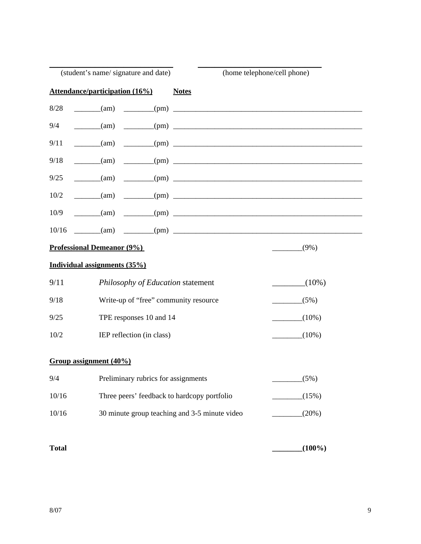|              | (student's name/signature and date)                                            | (home telephone/cell phone) |
|--------------|--------------------------------------------------------------------------------|-----------------------------|
|              | <b>Attendance/participation (16%)</b><br><b>Notes</b>                          |                             |
| 8/28         | $\frac{1}{\text{min}}$ (am) $\frac{1}{\text{min}}$ (pm) $\frac{1}{\text{min}}$ |                             |
| 9/4          | $\frac{1}{\text{cm}}$                                                          |                             |
| 9/11         | $\frac{1}{\text{tan}}$                                                         |                             |
| 9/18         | $\frac{1}{2}$ (pm)<br>(am)                                                     |                             |
| 9/25         | $\frac{1}{2}$ (pm)<br>$\frac{1}{\text{cm}}$ (am)                               |                             |
| 10/2         | $\frac{1}{2}$ (am)                                                             |                             |
| 10/9         | $\text{(am)}$ $\qquad \qquad \text{(pm)}$                                      |                             |
| 10/16        | $\text{(am)}$ (pm)                                                             |                             |
|              | <b>Professional Demeanor (9%)</b>                                              | $(9\%)$                     |
|              | Individual assignments (35%)                                                   |                             |
| 9/11         | Philosophy of Education statement                                              | $(10\%)$                    |
| 9/18         | Write-up of "free" community resource                                          | (5%)                        |
| 9/25         | TPE responses 10 and 14                                                        | $(10\%)$                    |
| 10/2         | IEP reflection (in class)                                                      | $(10\%)$                    |
|              | Group assignment (40%)                                                         |                             |
| 9/4          | Preliminary rubrics for assignments                                            | (5%)                        |
| 10/16        | Three peers' feedback to hardcopy portfolio                                    |                             |
|              |                                                                                | (15%)                       |
| 10/16        | 30 minute group teaching and 3-5 minute video                                  | (20%)                       |
| <b>Total</b> |                                                                                | $(100\%)$                   |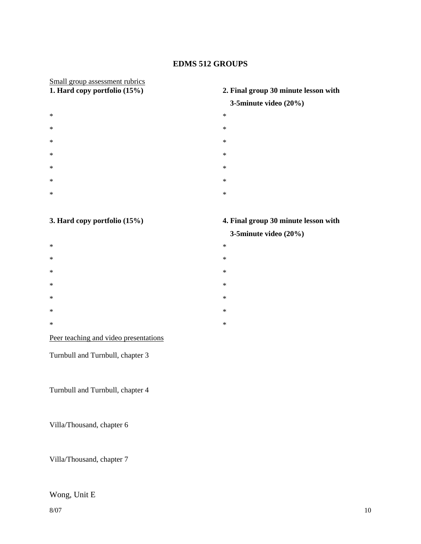#### **EDMS 512 GROUPS**

# Small group assessment rubrics<br>1. Hard copy portfolio (15%)

- $*$   $*$  $*$   $*$
- $*$   $*$
- $*$   $*$
- 
- $*$   $*$
- $*$   $*$
- $*$   $*$

# **1. Hard copy portfolio (15%) 2. Final group 30 minute lesson with**

#### **3-5minute video (20%)**

- 
- 
- 
- 
- 
- 
- 
- 

- $*$   $*$
- $*$   $*$
- $*$   $*$
- $*$   $*$
- $*$   $*$
- $*$   $*$
- $*$   $*$

#### Peer teaching and video presentations

Turnbull and Turnbull, chapter 3

Turnbull and Turnbull, chapter 4

Villa/Thousand, chapter 6

Villa/Thousand, chapter 7

#### Wong, Unit E

# **3. Hard copy portfolio (15%) 4. Final group 30 minute lesson with**

#### **3-5minute video (20%)**

- 
- 
- 
- 
- 
- 
-